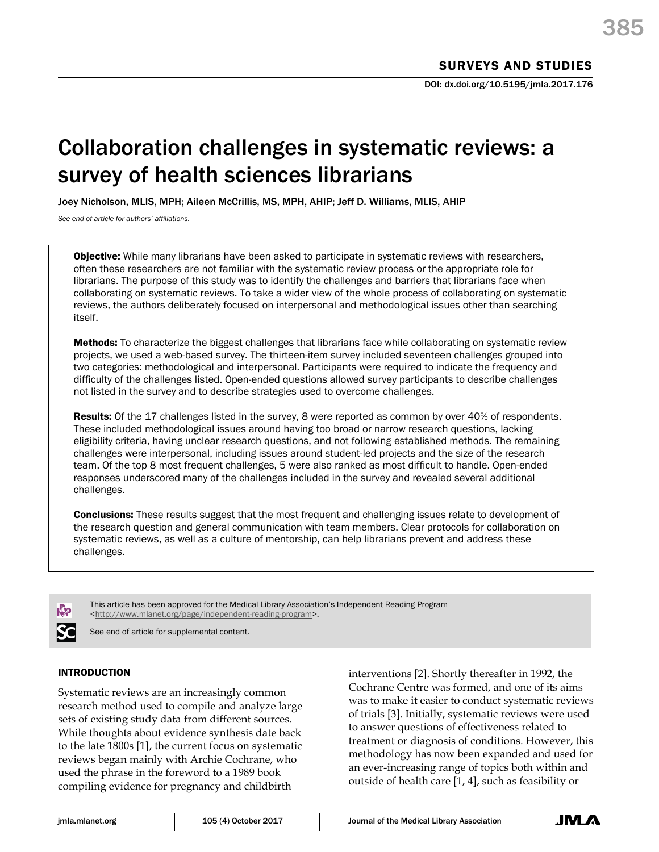# Collaboration challenges in systematic reviews: a survey of health sciences librarians

Joey Nicholson, MLIS, MPH; Aileen McCrillis, MS, MPH, AHIP; Jeff D. Williams, MLIS, AHIP

*See end of article for authors' affiliations.*

**Objective:** While many librarians have been asked to participate in systematic reviews with researchers, often these researchers are not familiar with the systematic review process or the appropriate role for librarians. The purpose of this study was to identify the challenges and barriers that librarians face when collaborating on systematic reviews. To take a wider view of the whole process of collaborating on systematic reviews, the authors deliberately focused on interpersonal and methodological issues other than searching itself.

Methods: To characterize the biggest challenges that librarians face while collaborating on systematic review projects, we used a web-based survey. The thirteen-item survey included seventeen challenges grouped into two categories: methodological and interpersonal. Participants were required to indicate the frequency and difficulty of the challenges listed. Open-ended questions allowed survey participants to describe challenges not listed in the survey and to describe strategies used to overcome challenges.

Results: Of the 17 challenges listed in the survey, 8 were reported as common by over 40% of respondents. These included methodological issues around having too broad or narrow research questions, lacking eligibility criteria, having unclear research questions, and not following established methods. The remaining challenges were interpersonal, including issues around student-led projects and the size of the research team. Of the top 8 most frequent challenges, 5 were also ranked as most difficult to handle. Open-ended responses underscored many of the challenges included in the survey and revealed several additional challenges.

**Conclusions:** These results suggest that the most frequent and challenging issues relate to development of the research question and general communication with team members. Clear protocols for collaboration on systematic reviews, as well as a culture of mentorship, can help librarians prevent and address these challenges.



This article has been approved for the Medical Library Association's Independent Reading Program [<http://www.mlanet.org/page/independent-reading-program>](http://www.mlanet.org/page/independent-reading-program).

See end of article for supplemental content.

# INTRODUCTION

Systematic reviews are an increasingly common research method used to compile and analyze large sets of existing study data from different sources. While thoughts about evidence synthesis date back to the late 1800s [1], the current focus on systematic reviews began mainly with Archie Cochrane, who used the phrase in the foreword to a 1989 book compiling evidence for pregnancy and childbirth

interventions [2]. Shortly thereafter in 1992, the Cochrane Centre was formed, and one of its aims was to make it easier to conduct systematic reviews of trials [3]. Initially, systematic reviews were used to answer questions of effectiveness related to treatment or diagnosis of conditions. However, this methodology has now been expanded and used for an ever-increasing range of topics both within and outside of health care [1, 4], such as feasibility or

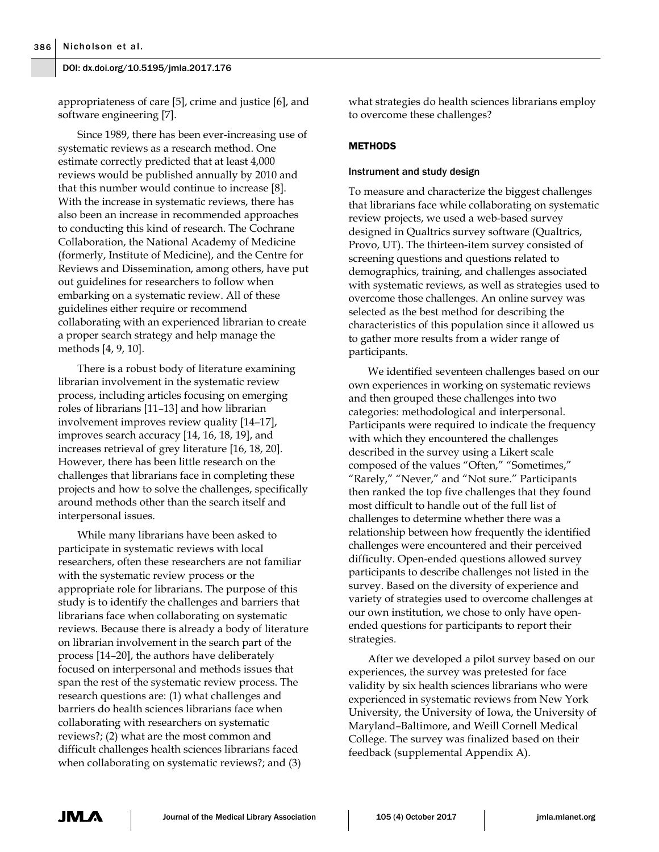appropriateness of care [5], crime and justice [6], and software engineering [7].

Since 1989, there has been ever-increasing use of systematic reviews as a research method. One estimate correctly predicted that at least 4,000 reviews would be published annually by 2010 and that this number would continue to increase [8]. With the increase in systematic reviews, there has also been an increase in recommended approaches to conducting this kind of research. The Cochrane Collaboration, the National Academy of Medicine (formerly, Institute of Medicine), and the Centre for Reviews and Dissemination, among others, have put out guidelines for researchers to follow when embarking on a systematic review. All of these guidelines either require or recommend collaborating with an experienced librarian to create a proper search strategy and help manage the methods [4, 9, 10].

There is a robust body of literature examining librarian involvement in the systematic review process, including articles focusing on emerging roles of librarians [11–13] and how librarian involvement improves review quality [14–17], improves search accuracy [14, 16, 18, 19], and increases retrieval of grey literature [16, 18, 20]. However, there has been little research on the challenges that librarians face in completing these projects and how to solve the challenges, specifically around methods other than the search itself and interpersonal issues.

While many librarians have been asked to participate in systematic reviews with local researchers, often these researchers are not familiar with the systematic review process or the appropriate role for librarians. The purpose of this study is to identify the challenges and barriers that librarians face when collaborating on systematic reviews. Because there is already a body of literature on librarian involvement in the search part of the process [14–20], the authors have deliberately focused on interpersonal and methods issues that span the rest of the systematic review process. The research questions are: (1) what challenges and barriers do health sciences librarians face when collaborating with researchers on systematic reviews?; (2) what are the most common and difficult challenges health sciences librarians faced when collaborating on systematic reviews?; and (3)

what strategies do health sciences librarians employ to overcome these challenges?

## **METHODS**

#### Instrument and study design

To measure and characterize the biggest challenges that librarians face while collaborating on systematic review projects, we used a web-based survey designed in Qualtrics survey software (Qualtrics, Provo, UT). The thirteen-item survey consisted of screening questions and questions related to demographics, training, and challenges associated with systematic reviews, as well as strategies used to overcome those challenges. An online survey was selected as the best method for describing the characteristics of this population since it allowed us to gather more results from a wider range of participants.

We identified seventeen challenges based on our own experiences in working on systematic reviews and then grouped these challenges into two categories: methodological and interpersonal. Participants were required to indicate the frequency with which they encountered the challenges described in the survey using a Likert scale composed of the values "Often," "Sometimes," "Rarely," "Never," and "Not sure." Participants then ranked the top five challenges that they found most difficult to handle out of the full list of challenges to determine whether there was a relationship between how frequently the identified challenges were encountered and their perceived difficulty. Open-ended questions allowed survey participants to describe challenges not listed in the survey. Based on the diversity of experience and variety of strategies used to overcome challenges at our own institution, we chose to only have openended questions for participants to report their strategies.

After we developed a pilot survey based on our experiences, the survey was pretested for face validity by six health sciences librarians who were experienced in systematic reviews from New York University, the University of Iowa, the University of Maryland–Baltimore, and Weill Cornell Medical College. The survey was finalized based on their feedback (supplemental Appendix A).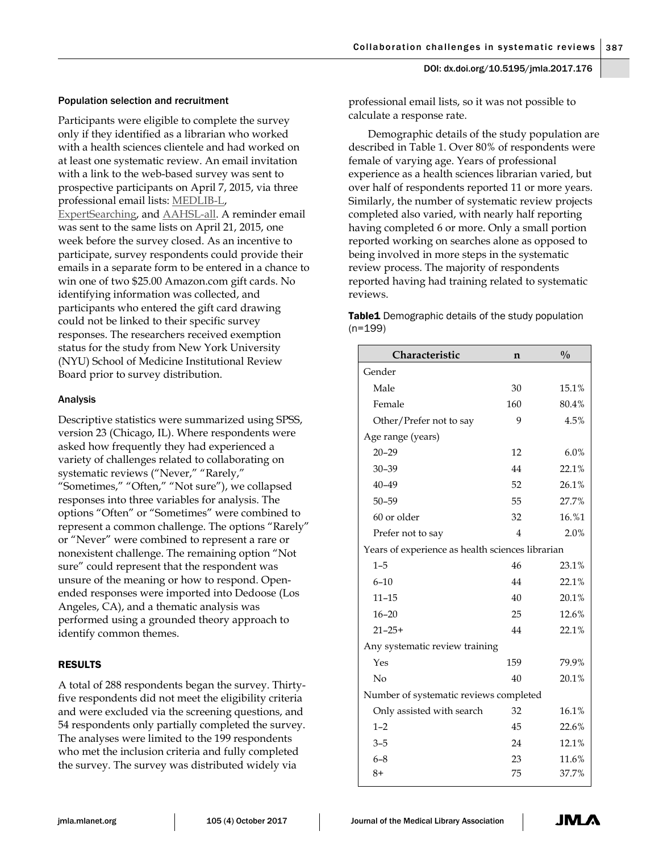# Population selection and recruitment

Participants were eligible to complete the survey only if they identified as a librarian who worked with a health sciences clientele and had worked on at least one systematic review. An email invitation with a link to the web-based survey was sent to prospective participants on April 7, 2015, via three professional email lists: [MEDLIB-L,](https://list.uvm.edu/cgi-bin/wa?A0=MEDLIB-L)  [ExpertSearching,](http://pss.mlanet.org/mailman/listinfo/expertsearching_pss.mlanet.org) and [AAHSL-all.](mailto:aahsl-all@memberclicks.net) A reminder email was sent to the same lists on April 21, 2015, one week before the survey closed. As an incentive to participate, survey respondents could provide their emails in a separate form to be entered in a chance to win one of two \$25.00 Amazon.com gift cards. No identifying information was collected, and participants who entered the gift card drawing could not be linked to their specific survey responses. The researchers received exemption status for the study from New York University (NYU) School of Medicine Institutional Review Board prior to survey distribution.

# Analysis

Descriptive statistics were summarized using SPSS, version 23 (Chicago, IL). Where respondents were asked how frequently they had experienced a variety of challenges related to collaborating on systematic reviews ("Never," "Rarely," "Sometimes," "Often," "Not sure"), we collapsed responses into three variables for analysis. The options "Often" or "Sometimes" were combined to represent a common challenge. The options "Rarely" or "Never" were combined to represent a rare or nonexistent challenge. The remaining option "Not sure" could represent that the respondent was unsure of the meaning or how to respond. Openended responses were imported into Dedoose (Los Angeles, CA), and a thematic analysis was performed using a grounded theory approach to identify common themes.

# RESULTS

A total of 288 respondents began the survey. Thirtyfive respondents did not meet the eligibility criteria and were excluded via the screening questions, and 54 respondents only partially completed the survey. The analyses were limited to the 199 respondents who met the inclusion criteria and fully completed the survey. The survey was distributed widely via

professional email lists, so it was not possible to calculate a response rate.

Demographic details of the study population are described in Table 1. Over 80% of respondents were female of varying age. Years of professional experience as a health sciences librarian varied, but over half of respondents reported 11 or more years. Similarly, the number of systematic review projects completed also varied, with nearly half reporting having completed 6 or more. Only a small portion reported working on searches alone as opposed to being involved in more steps in the systematic review process. The majority of respondents reported having had training related to systematic reviews.

Table1 Demographic details of the study population (n=199)

| Characteristic                                   | n              | $\frac{0}{0}$ |  |  |  |  |
|--------------------------------------------------|----------------|---------------|--|--|--|--|
| Gender                                           |                |               |  |  |  |  |
| Male                                             | 30             | 15.1%         |  |  |  |  |
| Female                                           | 160            | 80.4%         |  |  |  |  |
| Other/Prefer not to say                          | 9              | 4.5%          |  |  |  |  |
| Age range (years)                                |                |               |  |  |  |  |
| $20 - 29$                                        | 12             | 6.0%          |  |  |  |  |
| $30 - 39$                                        | 44             | 22.1%         |  |  |  |  |
| $40 - 49$                                        | 52             | 26.1%         |  |  |  |  |
| $50 - 59$                                        | 55             | 27.7%         |  |  |  |  |
| 60 or older                                      | 32             | 16.%1         |  |  |  |  |
| Prefer not to say                                | $\overline{4}$ | 2.0%          |  |  |  |  |
| Years of experience as health sciences librarian |                |               |  |  |  |  |
| $1 - 5$                                          | 46             | 23.1%         |  |  |  |  |
| $6 - 10$                                         | 44             | 22.1%         |  |  |  |  |
| $11 - 15$                                        | 40             | 20.1%         |  |  |  |  |
| $16 - 20$                                        | 25             | 12.6%         |  |  |  |  |
| $21 - 25 +$                                      | 44             | 22.1%         |  |  |  |  |
| Any systematic review training                   |                |               |  |  |  |  |
| Yes                                              | 159            | 79.9%         |  |  |  |  |
| No                                               | 40             | 20.1%         |  |  |  |  |
| Number of systematic reviews completed           |                |               |  |  |  |  |
| Only assisted with search                        | 32             | 16.1%         |  |  |  |  |
| $1 - 2$                                          | 45             | 22.6%         |  |  |  |  |
| $3 - 5$                                          | 24             | 12.1%         |  |  |  |  |
| $6 - 8$                                          | 23             | 11.6%         |  |  |  |  |
| $8+$                                             | 75             | 37.7%         |  |  |  |  |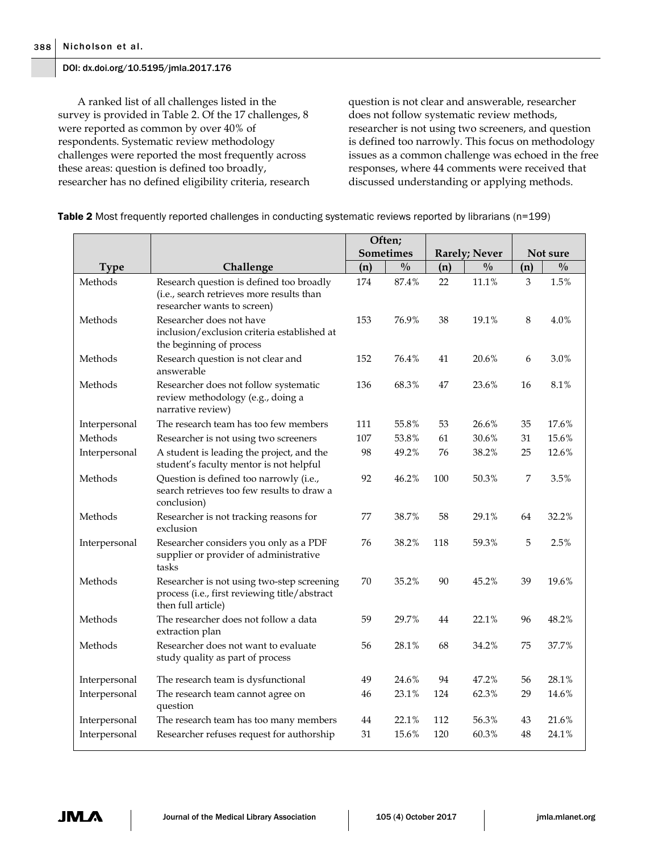A ranked list of all challenges listed in the survey is provided in Table 2. Of the 17 challenges, 8 were reported as common by over 40% of respondents. Systematic review methodology challenges were reported the most frequently across these areas: question is defined too broadly, researcher has no defined eligibility criteria, research

question is not clear and answerable, researcher does not follow systematic review methods, researcher is not using two screeners, and question is defined too narrowly. This focus on methodology issues as a common challenge was echoed in the free responses, where 44 comments were received that discussed understanding or applying methods.

|               |                                                                                                                      | Often;    |               |                      |               |          |               |
|---------------|----------------------------------------------------------------------------------------------------------------------|-----------|---------------|----------------------|---------------|----------|---------------|
|               |                                                                                                                      | Sometimes |               | <b>Rarely; Never</b> |               | Not sure |               |
| <b>Type</b>   | Challenge                                                                                                            | (n)       | $\frac{0}{0}$ | (n)                  | $\frac{0}{0}$ | (n)      | $\frac{0}{0}$ |
| Methods       | Research question is defined too broadly<br>(i.e., search retrieves more results than<br>researcher wants to screen) | 174       | 87.4%         | 22                   | 11.1%         | 3        | 1.5%          |
| Methods       | Researcher does not have<br>inclusion/exclusion criteria established at<br>the beginning of process                  | 153       | 76.9%         | 38                   | 19.1%         | 8        | 4.0%          |
| Methods       | Research question is not clear and<br>answerable                                                                     | 152       | 76.4%         | 41                   | 20.6%         | 6        | 3.0%          |
| Methods       | Researcher does not follow systematic<br>review methodology (e.g., doing a<br>narrative review)                      |           | 68.3%         | 47                   | 23.6%         | 16       | 8.1%          |
| Interpersonal | The research team has too few members                                                                                | 111       | 55.8%         | 53                   | 26.6%         | 35       | 17.6%         |
| Methods       | Researcher is not using two screeners                                                                                | 107       | 53.8%         | 61                   | 30.6%         | 31       | 15.6%         |
| Interpersonal | A student is leading the project, and the<br>student's faculty mentor is not helpful                                 | 98        | 49.2%         | 76                   | 38.2%         | 25       | 12.6%         |
| Methods       | Question is defined too narrowly (i.e.,<br>search retrieves too few results to draw a<br>conclusion)                 | 92        | 46.2%         | 100                  | 50.3%         | 7        | 3.5%          |
| Methods       | Researcher is not tracking reasons for<br>exclusion                                                                  | 77        | 38.7%         | 58                   | 29.1%         | 64       | 32.2%         |
| Interpersonal | Researcher considers you only as a PDF<br>supplier or provider of administrative<br>tasks                            | 76        | 38.2%         | 118                  | 59.3%         | 5        | 2.5%          |
| Methods       | Researcher is not using two-step screening<br>process (i.e., first reviewing title/abstract<br>then full article)    | 70        | 35.2%         | 90                   | 45.2%         | 39       | 19.6%         |
| Methods       | The researcher does not follow a data<br>extraction plan                                                             | 59        | 29.7%         | 44                   | 22.1%         | 96       | 48.2%         |
| Methods       | Researcher does not want to evaluate<br>study quality as part of process                                             | 56        | 28.1%         | 68                   | 34.2%         | 75       | 37.7%         |
| Interpersonal | The research team is dysfunctional                                                                                   | 49        | 24.6%         | 94                   | 47.2%         | 56       | 28.1%         |
| Interpersonal | The research team cannot agree on<br>question                                                                        | 46        | 23.1%         | 124                  | 62.3%         | 29       | 14.6%         |
| Interpersonal | The research team has too many members                                                                               | 44        | 22.1%         | 112                  | 56.3%         | 43       | 21.6%         |
| Interpersonal | Researcher refuses request for authorship                                                                            | 31        | 15.6%         | 120                  | 60.3%         | 48       | 24.1%         |

Table 2 Most frequently reported challenges in conducting systematic reviews reported by librarians (n=199)

JML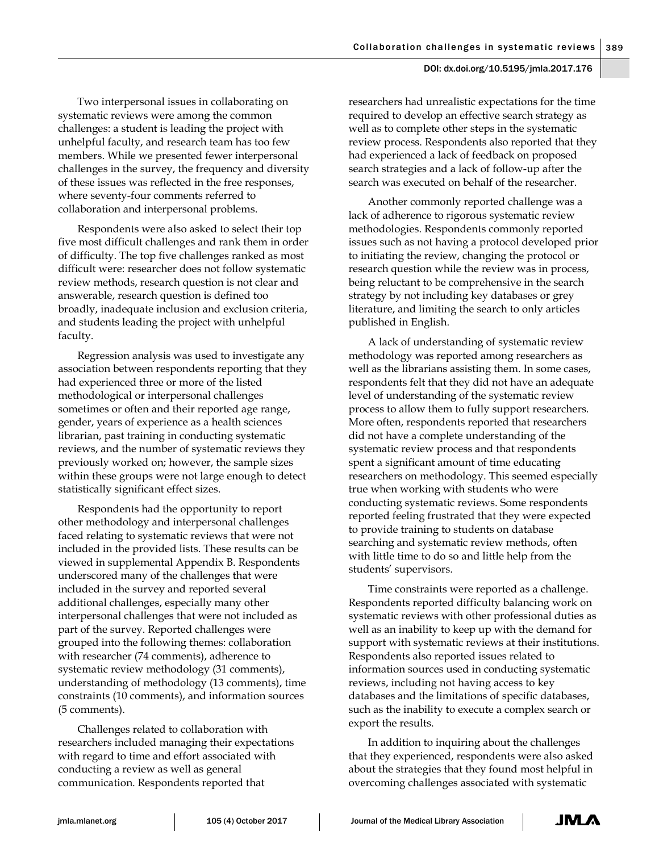Two interpersonal issues in collaborating on systematic reviews were among the common challenges: a student is leading the project with unhelpful faculty, and research team has too few members. While we presented fewer interpersonal challenges in the survey, the frequency and diversity of these issues was reflected in the free responses, where seventy-four comments referred to collaboration and interpersonal problems.

Respondents were also asked to select their top five most difficult challenges and rank them in order of difficulty. The top five challenges ranked as most difficult were: researcher does not follow systematic review methods, research question is not clear and answerable, research question is defined too broadly, inadequate inclusion and exclusion criteria, and students leading the project with unhelpful faculty.

Regression analysis was used to investigate any association between respondents reporting that they had experienced three or more of the listed methodological or interpersonal challenges sometimes or often and their reported age range, gender, years of experience as a health sciences librarian, past training in conducting systematic reviews, and the number of systematic reviews they previously worked on; however, the sample sizes within these groups were not large enough to detect statistically significant effect sizes.

Respondents had the opportunity to report other methodology and interpersonal challenges faced relating to systematic reviews that were not included in the provided lists. These results can be viewed in supplemental Appendix B. Respondents underscored many of the challenges that were included in the survey and reported several additional challenges, especially many other interpersonal challenges that were not included as part of the survey. Reported challenges were grouped into the following themes: collaboration with researcher (74 comments), adherence to systematic review methodology (31 comments), understanding of methodology (13 comments), time constraints (10 comments), and information sources (5 comments).

Challenges related to collaboration with researchers included managing their expectations with regard to time and effort associated with conducting a review as well as general communication. Respondents reported that

researchers had unrealistic expectations for the time required to develop an effective search strategy as well as to complete other steps in the systematic review process. Respondents also reported that they had experienced a lack of feedback on proposed search strategies and a lack of follow-up after the search was executed on behalf of the researcher.

Another commonly reported challenge was a lack of adherence to rigorous systematic review methodologies. Respondents commonly reported issues such as not having a protocol developed prior to initiating the review, changing the protocol or research question while the review was in process, being reluctant to be comprehensive in the search strategy by not including key databases or grey literature, and limiting the search to only articles published in English.

A lack of understanding of systematic review methodology was reported among researchers as well as the librarians assisting them. In some cases, respondents felt that they did not have an adequate level of understanding of the systematic review process to allow them to fully support researchers. More often, respondents reported that researchers did not have a complete understanding of the systematic review process and that respondents spent a significant amount of time educating researchers on methodology. This seemed especially true when working with students who were conducting systematic reviews. Some respondents reported feeling frustrated that they were expected to provide training to students on database searching and systematic review methods, often with little time to do so and little help from the students' supervisors.

Time constraints were reported as a challenge. Respondents reported difficulty balancing work on systematic reviews with other professional duties as well as an inability to keep up with the demand for support with systematic reviews at their institutions. Respondents also reported issues related to information sources used in conducting systematic reviews, including not having access to key databases and the limitations of specific databases, such as the inability to execute a complex search or export the results.

In addition to inquiring about the challenges that they experienced, respondents were also asked about the strategies that they found most helpful in overcoming challenges associated with systematic

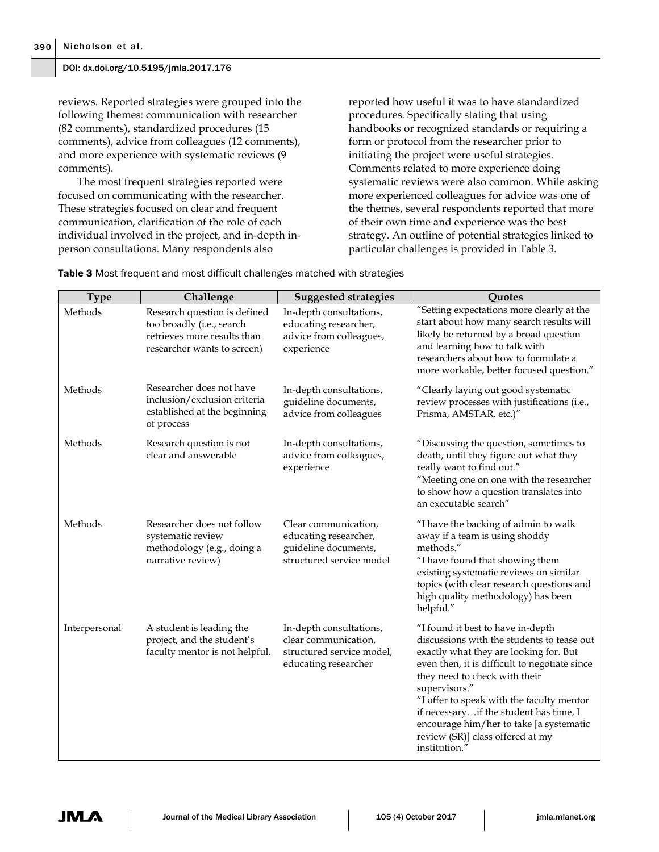reviews. Reported strategies were grouped into the following themes: communication with researcher (82 comments), standardized procedures (15 comments), advice from colleagues (12 comments), and more experience with systematic reviews (9 comments).

The most frequent strategies reported were focused on communicating with the researcher. These strategies focused on clear and frequent communication, clarification of the role of each individual involved in the project, and in-depth inperson consultations. Many respondents also

reported how useful it was to have standardized procedures. Specifically stating that using handbooks or recognized standards or requiring a form or protocol from the researcher prior to initiating the project were useful strategies. Comments related to more experience doing systematic reviews were also common. While asking more experienced colleagues for advice was one of the themes, several respondents reported that more of their own time and experience was the best strategy. An outline of potential strategies linked to particular challenges is provided in Table 3.

**Table 3** Most frequent and most difficult challenges matched with strategies

| <b>Type</b>   | Challenge                                                                                                               | <b>Suggested strategies</b>                                                                          | Quotes                                                                                                                                                                                                                                                                                                                                                                                                              |
|---------------|-------------------------------------------------------------------------------------------------------------------------|------------------------------------------------------------------------------------------------------|---------------------------------------------------------------------------------------------------------------------------------------------------------------------------------------------------------------------------------------------------------------------------------------------------------------------------------------------------------------------------------------------------------------------|
| Methods       | Research question is defined<br>too broadly (i.e., search<br>retrieves more results than<br>researcher wants to screen) | In-depth consultations,<br>educating researcher,<br>advice from colleagues,<br>experience            | "Setting expectations more clearly at the<br>start about how many search results will<br>likely be returned by a broad question<br>and learning how to talk with<br>researchers about how to formulate a<br>more workable, better focused question."                                                                                                                                                                |
| Methods       | Researcher does not have<br>inclusion/exclusion criteria<br>established at the beginning<br>of process                  | In-depth consultations,<br>guideline documents,<br>advice from colleagues                            | "Clearly laying out good systematic<br>review processes with justifications (i.e.,<br>Prisma, AMSTAR, etc.)"                                                                                                                                                                                                                                                                                                        |
| Methods       | Research question is not<br>clear and answerable                                                                        | In-depth consultations,<br>advice from colleagues,<br>experience                                     | "Discussing the question, sometimes to<br>death, until they figure out what they<br>really want to find out."<br>"Meeting one on one with the researcher<br>to show how a question translates into<br>an executable search"                                                                                                                                                                                         |
| Methods       | Researcher does not follow<br>systematic review<br>methodology (e.g., doing a<br>narrative review)                      | Clear communication,<br>educating researcher,<br>guideline documents,<br>structured service model    | "I have the backing of admin to walk<br>away if a team is using shoddy<br>methods."<br>"I have found that showing them<br>existing systematic reviews on similar<br>topics (with clear research questions and<br>high quality methodology) has been<br>helpful."                                                                                                                                                    |
| Interpersonal | A student is leading the<br>project, and the student's<br>faculty mentor is not helpful.                                | In-depth consultations,<br>clear communication,<br>structured service model,<br>educating researcher | "I found it best to have in-depth<br>discussions with the students to tease out<br>exactly what they are looking for. But<br>even then, it is difficult to negotiate since<br>they need to check with their<br>supervisors."<br>"I offer to speak with the faculty mentor<br>if necessaryif the student has time, I<br>encourage him/her to take [a systematic<br>review (SR)] class offered at my<br>institution." |

**JM**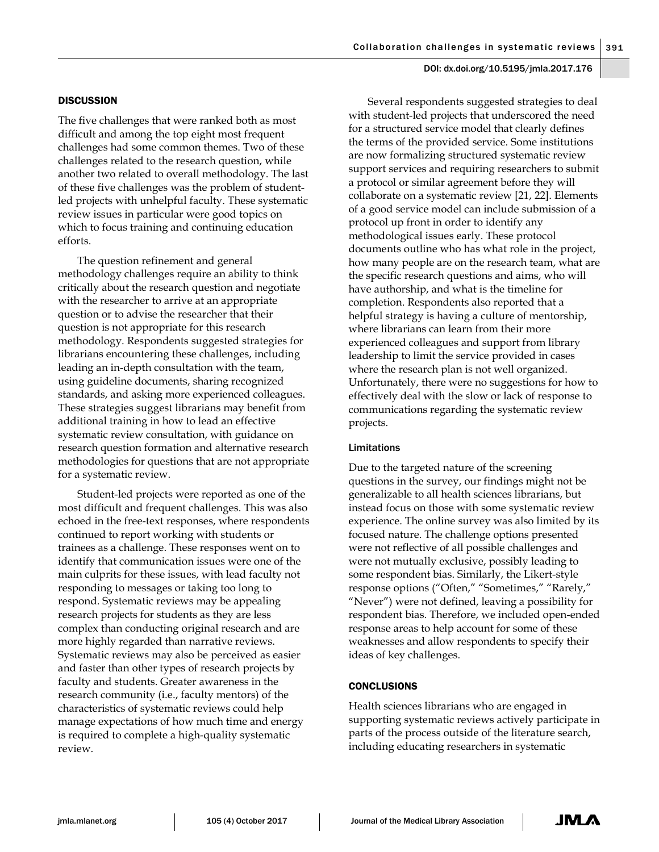## **DISCUSSION**

The five challenges that were ranked both as most difficult and among the top eight most frequent challenges had some common themes. Two of these challenges related to the research question, while another two related to overall methodology. The last of these five challenges was the problem of studentled projects with unhelpful faculty. These systematic review issues in particular were good topics on which to focus training and continuing education efforts.

The question refinement and general methodology challenges require an ability to think critically about the research question and negotiate with the researcher to arrive at an appropriate question or to advise the researcher that their question is not appropriate for this research methodology. Respondents suggested strategies for librarians encountering these challenges, including leading an in-depth consultation with the team, using guideline documents, sharing recognized standards, and asking more experienced colleagues. These strategies suggest librarians may benefit from additional training in how to lead an effective systematic review consultation, with guidance on research question formation and alternative research methodologies for questions that are not appropriate for a systematic review.

Student-led projects were reported as one of the most difficult and frequent challenges. This was also echoed in the free-text responses, where respondents continued to report working with students or trainees as a challenge. These responses went on to identify that communication issues were one of the main culprits for these issues, with lead faculty not responding to messages or taking too long to respond. Systematic reviews may be appealing research projects for students as they are less complex than conducting original research and are more highly regarded than narrative reviews. Systematic reviews may also be perceived as easier and faster than other types of research projects by faculty and students. Greater awareness in the research community (i.e., faculty mentors) of the characteristics of systematic reviews could help manage expectations of how much time and energy is required to complete a high-quality systematic review.

Several respondents suggested strategies to deal with student-led projects that underscored the need for a structured service model that clearly defines the terms of the provided service. Some institutions are now formalizing structured systematic review support services and requiring researchers to submit a protocol or similar agreement before they will collaborate on a systematic review [21, 22]. Elements of a good service model can include submission of a protocol up front in order to identify any methodological issues early. These protocol documents outline who has what role in the project, how many people are on the research team, what are the specific research questions and aims, who will have authorship, and what is the timeline for completion. Respondents also reported that a helpful strategy is having a culture of mentorship, where librarians can learn from their more experienced colleagues and support from library leadership to limit the service provided in cases where the research plan is not well organized. Unfortunately, there were no suggestions for how to effectively deal with the slow or lack of response to communications regarding the systematic review projects.

#### Limitations

Due to the targeted nature of the screening questions in the survey, our findings might not be generalizable to all health sciences librarians, but instead focus on those with some systematic review experience. The online survey was also limited by its focused nature. The challenge options presented were not reflective of all possible challenges and were not mutually exclusive, possibly leading to some respondent bias. Similarly, the Likert-style response options ("Often," "Sometimes," "Rarely," "Never") were not defined, leaving a possibility for respondent bias. Therefore, we included open-ended response areas to help account for some of these weaknesses and allow respondents to specify their ideas of key challenges.

#### CONCLUSIONS

Health sciences librarians who are engaged in supporting systematic reviews actively participate in parts of the process outside of the literature search, including educating researchers in systematic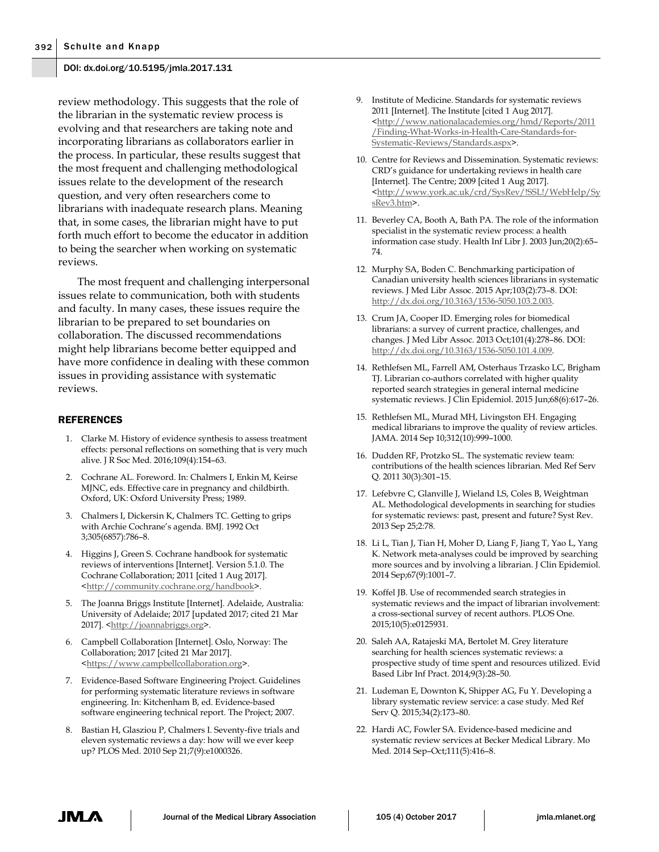review methodology. This suggests that the role of the librarian in the systematic review process is evolving and that researchers are taking note and incorporating librarians as collaborators earlier in the process. In particular, these results suggest that the most frequent and challenging methodological issues relate to the development of the research question, and very often researchers come to librarians with inadequate research plans. Meaning that, in some cases, the librarian might have to put forth much effort to become the educator in addition to being the searcher when working on systematic reviews.

The most frequent and challenging interpersonal issues relate to communication, both with students and faculty. In many cases, these issues require the librarian to be prepared to set boundaries on collaboration. The discussed recommendations might help librarians become better equipped and have more confidence in dealing with these common issues in providing assistance with systematic reviews.

## REFERENCES

- 1. Clarke M. History of evidence synthesis to assess treatment effects: personal reflections on something that is very much alive. J R Soc Med. 2016;109(4):154–63.
- 2. Cochrane AL. Foreword. In: Chalmers I, Enkin M, Keirse MJNC, eds. Effective care in pregnancy and childbirth. Oxford, UK: Oxford University Press; 1989.
- 3. Chalmers I, Dickersin K, Chalmers TC. Getting to grips with Archie Cochrane's agenda. BMJ. 1992 Oct 3;305(6857):786–8.
- 4. Higgins J, Green S. Cochrane handbook for systematic reviews of interventions [Internet]. Version 5.1.0. The Cochrane Collaboration; 2011 [cited 1 Aug 2017]. [<http://community.cochrane.org/handbook>](http://community.cochrane.org/handbook).
- 5. The Joanna Briggs Institute [Internet]. Adelaide, Australia: University of Adelaide; 2017 [updated 2017; cited 21 Mar 2017]. [<http://joannabriggs.org>](http://joannabriggs.org/).
- 6. Campbell Collaboration [Internet]. Oslo, Norway: The Collaboration; 2017 [cited 21 Mar 2017]. [<https://www.campbellcollaboration.org>](https://www.campbellcollaboration.org/).
- 7. Evidence-Based Software Engineering Project. Guidelines for performing systematic literature reviews in software engineering. In: Kitchenham B, ed. Evidence-based software engineering technical report. The Project; 2007.
- 8. Bastian H, Glasziou P, Chalmers I. Seventy-five trials and eleven systematic reviews a day: how will we ever keep up? PLOS Med. 2010 Sep 21;7(9):e1000326.
- 9. Institute of Medicine. Standards for systematic reviews 2011 [Internet]. The Institute [cited 1 Aug 2017]. [<http://www.nationalacademies.org/hmd/Reports/2011](http://www.nationalacademies.org/hmd/Reports/2011/Finding-What-Works-in-Health-Care-Standards-for-Systematic-Reviews/Standards.aspx) [/Finding-What-Works-in-Health-Care-Standards-for-](http://www.nationalacademies.org/hmd/Reports/2011/Finding-What-Works-in-Health-Care-Standards-for-Systematic-Reviews/Standards.aspx)[Systematic-Reviews/Standards.aspx>](http://www.nationalacademies.org/hmd/Reports/2011/Finding-What-Works-in-Health-Care-Standards-for-Systematic-Reviews/Standards.aspx).
- 10. Centre for Reviews and Dissemination. Systematic reviews: CRD's guidance for undertaking reviews in health care [Internet]. The Centre; 2009 [cited 1 Aug 2017]. [<http://www.york.ac.uk/crd/SysRev/!SSL!/WebHelp/Sy](http://www.york.ac.uk/crd/SysRev/!SSL!/WebHelp/SysRev3.htm) [sRev3.htm>](http://www.york.ac.uk/crd/SysRev/!SSL!/WebHelp/SysRev3.htm).
- 11. Beverley CA, Booth A, Bath PA. The role of the information specialist in the systematic review process: a health information case study. Health Inf Libr J. 2003 Jun;20(2):65– 74.
- 12. Murphy SA, Boden C. Benchmarking participation of Canadian university health sciences librarians in systematic reviews. J Med Libr Assoc. 2015 Apr;103(2):73–8. DOI: [http://dx.doi.org/10.3163/1536-5050.103.2.003.](http://dx.doi.org/10.3163/1536-5050.103.2.003)
- 13. Crum JA, Cooper ID. Emerging roles for biomedical librarians: a survey of current practice, challenges, and changes. J Med Libr Assoc. 2013 Oct;101(4):278–86. DOI: [http://dx.doi.org/10.3163/1536-5050.101.4.009.](http://dx.doi.org/10.3163/1536-5050.101.4.009)
- 14. Rethlefsen ML, Farrell AM, Osterhaus Trzasko LC, Brigham TJ. Librarian co-authors correlated with higher quality reported search strategies in general internal medicine systematic reviews. J Clin Epidemiol. 2015 Jun;68(6):617–26.
- 15. Rethlefsen ML, Murad MH, Livingston EH. Engaging medical librarians to improve the quality of review articles. JAMA. 2014 Sep 10;312(10):999–1000.
- 16. Dudden RF, Protzko SL. The systematic review team: contributions of the health sciences librarian. Med Ref Serv Q. 2011 30(3):301–15.
- 17. Lefebvre C, Glanville J, Wieland LS, Coles B, Weightman AL. Methodological developments in searching for studies for systematic reviews: past, present and future? Syst Rev. 2013 Sep 25;2:78.
- 18. Li L, Tian J, Tian H, Moher D, Liang F, Jiang T, Yao L, Yang K. Network meta-analyses could be improved by searching more sources and by involving a librarian. J Clin Epidemiol. 2014 Sep;67(9):1001–7.
- 19. Koffel JB. Use of recommended search strategies in systematic reviews and the impact of librarian involvement: a cross-sectional survey of recent authors. PLOS One. 2015;10(5):e0125931.
- 20. Saleh AA, Ratajeski MA, Bertolet M. Grey literature searching for health sciences systematic reviews: a prospective study of time spent and resources utilized. Evid Based Libr Inf Pract. 2014;9(3):28–50.
- 21. Ludeman E, Downton K, Shipper AG, Fu Y. Developing a library systematic review service: a case study. Med Ref Serv Q. 2015;34(2):173–80.
- 22. Hardi AC, Fowler SA. Evidence-based medicine and systematic review services at Becker Medical Library. Mo Med. 2014 Sep–Oct;111(5):416–8.